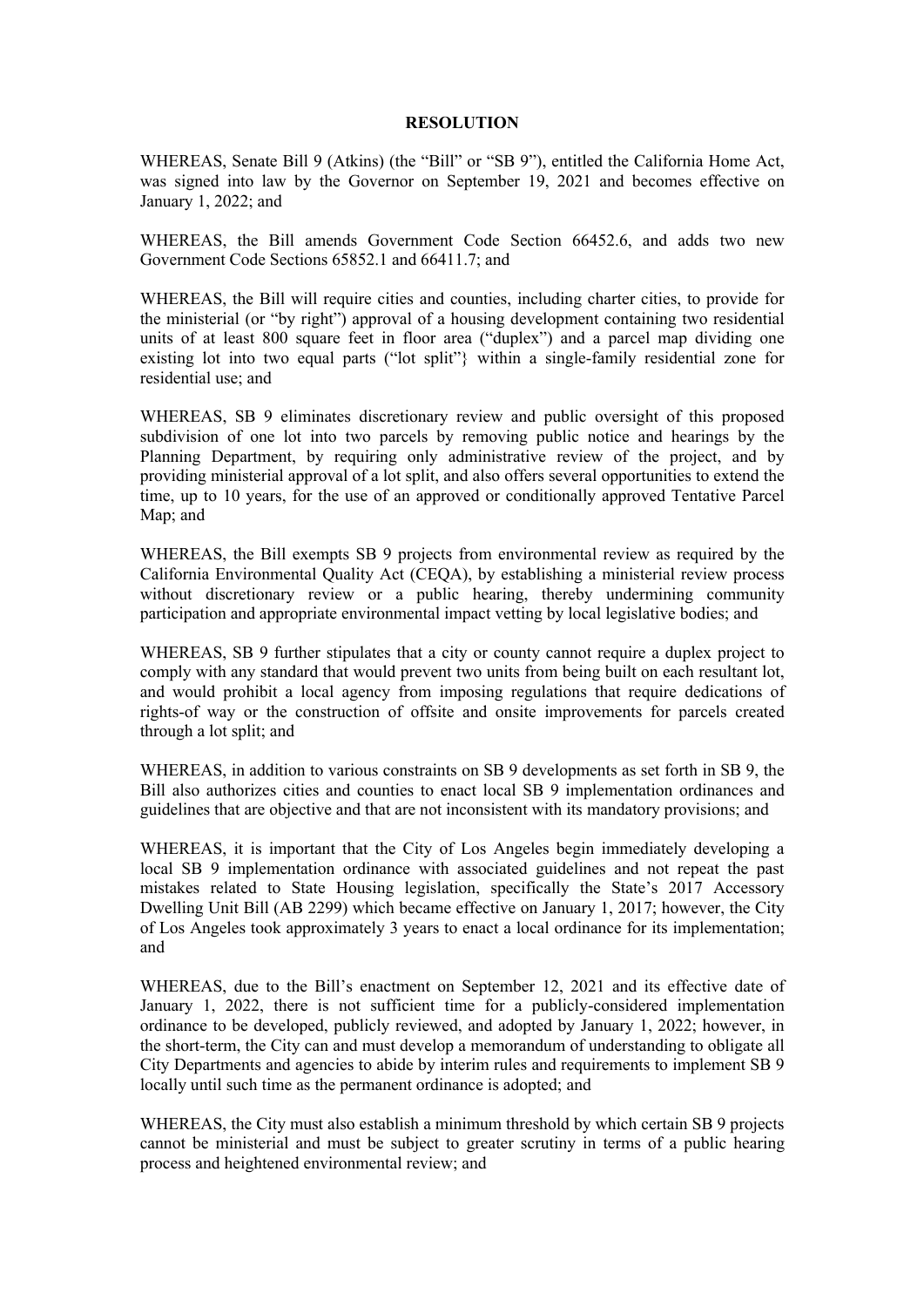## **RESOLUTION**

WHEREAS, Senate Bill 9 (Atkins) (the "Bill" or "SB 9"), entitled the California Home Act, was signed into law by the Governor on September 19, 2021 and becomes effective on January 1, 2022; and

WHEREAS, the Bill amends Government Code Section 66452.6, and adds two new Government Code Sections 65852.1 and 66411.7; and

WHEREAS, the Bill will require cities and counties, including charter cities, to provide for the ministerial (or "by right") approval of a housing development containing two residential units of at least 800 square feet in floor area ("duplex") and a parcel map dividing one existing lot into two equal parts ("lot split"} within a single-family residential zone for residential use; and

WHEREAS, SB 9 eliminates discretionary review and public oversight of this proposed subdivision of one lot into two parcels by removing public notice and hearings by the Planning Department, by requiring only administrative review of the project, and by providing ministerial approval of a lot split, and also offers several opportunities to extend the time, up to 10 years, for the use of an approved or conditionally approved Tentative Parcel Map; and

WHEREAS, the Bill exempts SB 9 projects from environmental review as required by the California Environmental Quality Act (CEQA), by establishing a ministerial review process without discretionary review or a public hearing, thereby undermining community participation and appropriate environmental impact vetting by local legislative bodies; and

WHEREAS, SB 9 further stipulates that a city or county cannot require a duplex project to comply with any standard that would prevent two units from being built on each resultant lot, and would prohibit a local agency from imposing regulations that require dedications of rights-of way or the construction of offsite and onsite improvements for parcels created through a lot split; and

WHEREAS, in addition to various constraints on SB 9 developments as set forth in SB 9, the Bill also authorizes cities and counties to enact local SB 9 implementation ordinances and guidelines that are objective and that are not inconsistent with its mandatory provisions; and

WHEREAS, it is important that the City of Los Angeles begin immediately developing a local SB 9 implementation ordinance with associated guidelines and not repeat the past mistakes related to State Housing legislation, specifically the State's 2017 Accessory Dwelling Unit Bill (AB 2299) which became effective on January 1, 2017; however, the City of Los Angeles took approximately 3 years to enact a local ordinance for its implementation; and

WHEREAS, due to the Bill's enactment on September 12, 2021 and its effective date of January 1, 2022, there is not sufficient time for a publicly-considered implementation ordinance to be developed, publicly reviewed, and adopted by January 1, 2022; however, in the short-term, the City can and must develop a memorandum of understanding to obligate all City Departments and agencies to abide by interim rules and requirements to implement SB 9 locally until such time as the permanent ordinance is adopted; and

WHEREAS, the City must also establish a minimum threshold by which certain SB 9 projects cannot be ministerial and must be subject to greater scrutiny in terms of a public hearing process and heightened environmental review; and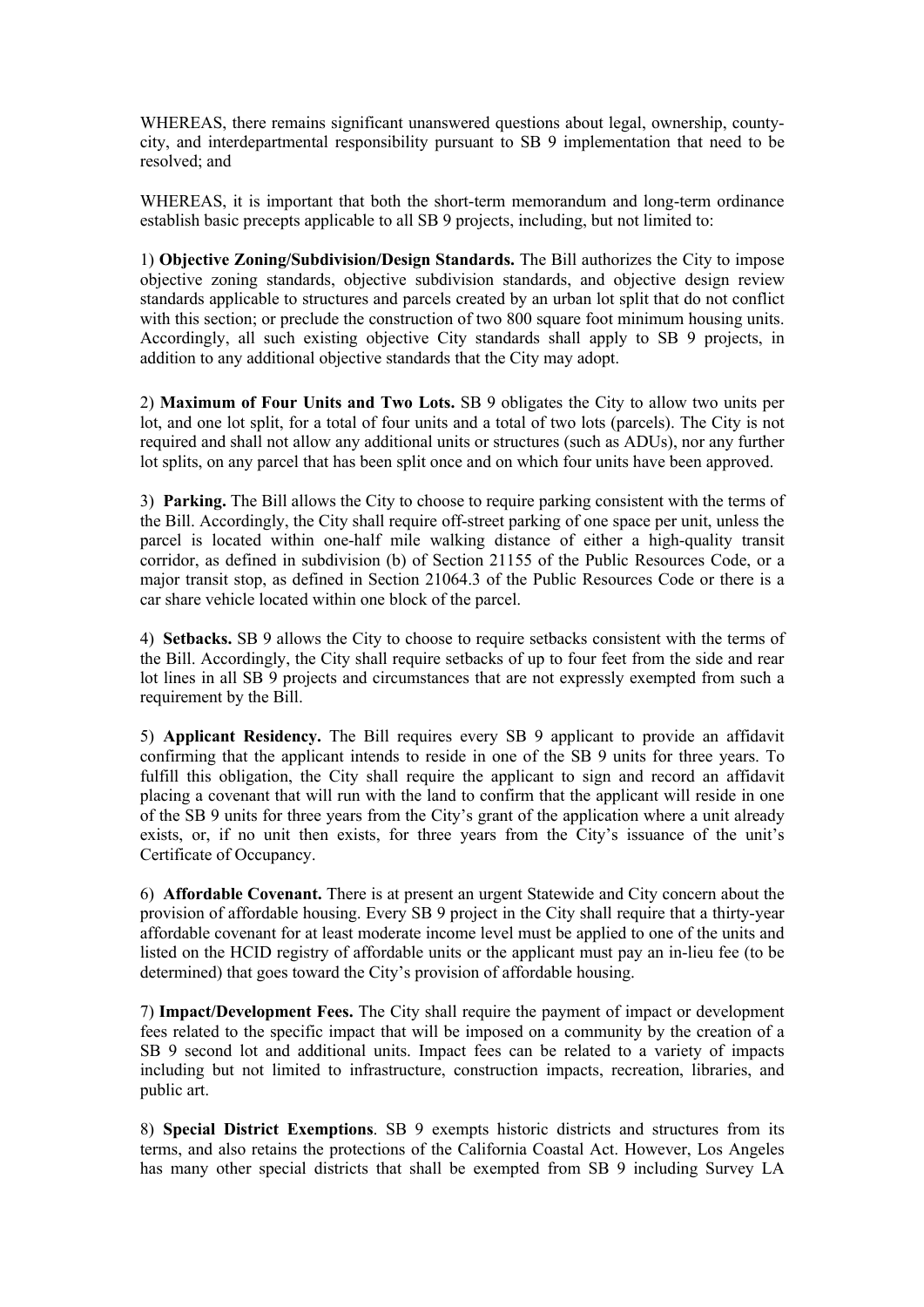WHEREAS, there remains significant unanswered questions about legal, ownership, countycity, and interdepartmental responsibility pursuant to SB 9 implementation that need to be resolved; and

WHEREAS, it is important that both the short-term memorandum and long-term ordinance establish basic precepts applicable to all SB 9 projects, including, but not limited to:

1) **Objective Zoning/Subdivision/Design Standards.** The Bill authorizes the City to impose objective zoning standards, objective subdivision standards, and objective design review standards applicable to structures and parcels created by an urban lot split that do not conflict with this section; or preclude the construction of two 800 square foot minimum housing units. Accordingly, all such existing objective City standards shall apply to SB 9 projects, in addition to any additional objective standards that the City may adopt.

2) **Maximum of Four Units and Two Lots.** SB 9 obligates the City to allow two units per lot, and one lot split, for a total of four units and a total of two lots (parcels). The City is not required and shall not allow any additional units or structures (such as ADUs), nor any further lot splits, on any parcel that has been split once and on which four units have been approved.

3) **Parking.** The Bill allows the City to choose to require parking consistent with the terms of the Bill. Accordingly, the City shall require off-street parking of one space per unit, unless the parcel is located within one-half mile walking distance of either a high-quality transit corridor, as defined in subdivision (b) of Section 21155 of the Public Resources Code, or a major transit stop, as defined in Section 21064.3 of the Public Resources Code or there is a car share vehicle located within one block of the parcel.

4) **Setbacks.** SB 9 allows the City to choose to require setbacks consistent with the terms of the Bill. Accordingly, the City shall require setbacks of up to four feet from the side and rear lot lines in all SB 9 projects and circumstances that are not expressly exempted from such a requirement by the Bill.

5) **Applicant Residency.** The Bill requires every SB 9 applicant to provide an affidavit confirming that the applicant intends to reside in one of the SB 9 units for three years. To fulfill this obligation, the City shall require the applicant to sign and record an affidavit placing a covenant that will run with the land to confirm that the applicant will reside in one of the SB 9 units for three years from the City's grant of the application where a unit already exists, or, if no unit then exists, for three years from the City's issuance of the unit's Certificate of Occupancy.

6) **Affordable Covenant.** There is at present an urgent Statewide and City concern about the provision of affordable housing. Every SB 9 project in the City shall require that a thirty-year affordable covenant for at least moderate income level must be applied to one of the units and listed on the HCID registry of affordable units or the applicant must pay an in-lieu fee (to be determined) that goes toward the City's provision of affordable housing.

7) **Impact/Development Fees.** The City shall require the payment of impact or development fees related to the specific impact that will be imposed on a community by the creation of a SB 9 second lot and additional units. Impact fees can be related to a variety of impacts including but not limited to infrastructure, construction impacts, recreation, libraries, and public art.

8) **Special District Exemptions**. SB 9 exempts historic districts and structures from its terms, and also retains the protections of the California Coastal Act. However, Los Angeles has many other special districts that shall be exempted from SB 9 including Survey LA